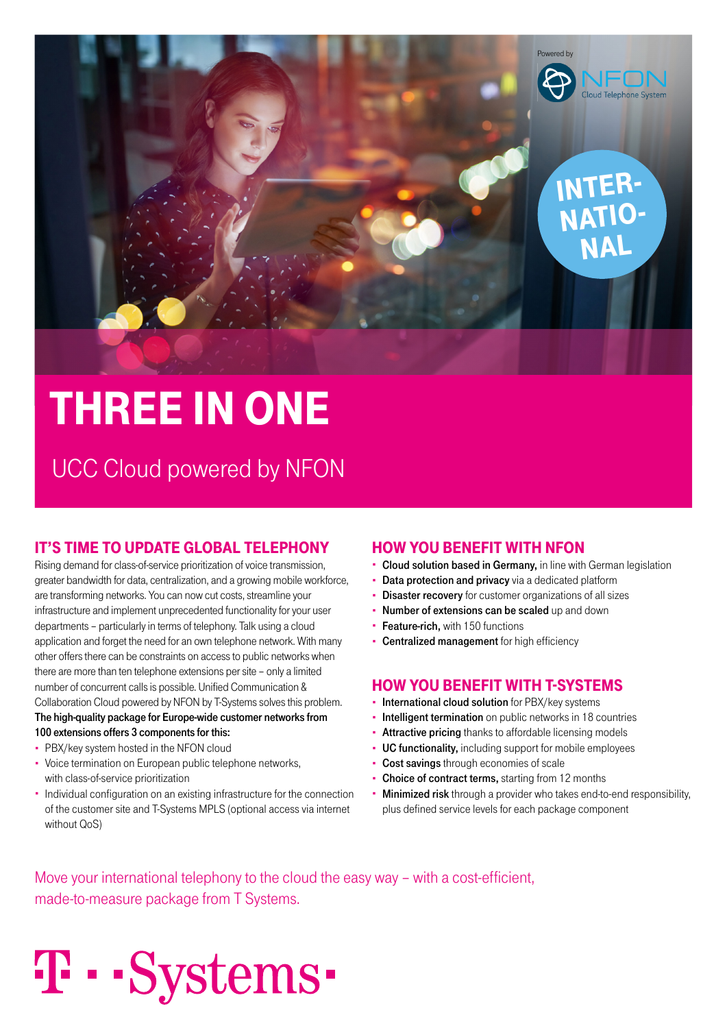

# **THREE IN ONE**

UCC Cloud powered by NFON

## IT'S TIMe To UpdATe GlobAl TelepHoNy

Rising demand for class-of-service prioritization of voice transmission, greater bandwidth for data, centralization, and a growing mobile workforce, are transforming networks. You can now cut costs, streamline your infrastructure and implement unprecedented functionality for your user departments – particularly in terms of telephony. Talk using a cloud application and forget the need for an own telephone network. With many other offers there can be constraints on access to public networks when there are more than ten telephone extensions per site – only a limited number of concurrent calls is possible. Unified Communication & Collaboration Cloud powered by NFON by T-Systems solves this problem. The high-quality package for Europe-wide customer networks from 100 extensions offers 3 components for this:

- PBX/key system hosted in the NFON cloud
- Voice termination on European public telephone networks, with class-of-service prioritization
- Individual configuration on an existing infrastructure for the connection of the customer site and T-Systems MPLS (optional access via internet without QoS)

T · · Systems ·

#### How yoU beNeFIT wITH NFoN

- Cloud solution based in Germany, in line with German legislation
- **Data protection and privacy** via a dedicated platform
- Disaster recovery for customer organizations of all sizes
- Number of extensions can be scaled up and down
- Feature-rich, with 150 functions
- Centralized management for high efficiency

#### How yoU beNeFIT wITH T-SySTeMS

- International cloud solution for PBX/key systems
- **Intelligent termination** on public networks in 18 countries
- Attractive pricing thanks to affordable licensing models
- UC functionality, including support for mobile employees
- **Cost savings** through economies of scale
- Choice of contract terms, starting from 12 months
- Minimized risk through a provider who takes end-to-end responsibility, plus defined service levels for each package component

Move your international telephony to the cloud the easy way – with a cost-efficient, made-to-measure package from T Systems.